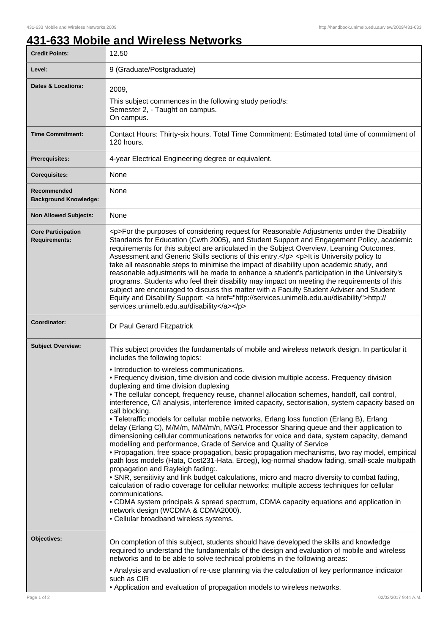## **431-633 Mobile and Wireless Networks**

| <b>Credit Points:</b>                             | 12.50                                                                                                                                                                                                                                                                                                                                                                                                                                                                                                                                                                                                                                                                                                                                                                                                                                                                                                                                                                                                                                                                                                                                                                                                                                                                                                                                                                                                                                                                                                                                        |
|---------------------------------------------------|----------------------------------------------------------------------------------------------------------------------------------------------------------------------------------------------------------------------------------------------------------------------------------------------------------------------------------------------------------------------------------------------------------------------------------------------------------------------------------------------------------------------------------------------------------------------------------------------------------------------------------------------------------------------------------------------------------------------------------------------------------------------------------------------------------------------------------------------------------------------------------------------------------------------------------------------------------------------------------------------------------------------------------------------------------------------------------------------------------------------------------------------------------------------------------------------------------------------------------------------------------------------------------------------------------------------------------------------------------------------------------------------------------------------------------------------------------------------------------------------------------------------------------------------|
| Level:                                            | 9 (Graduate/Postgraduate)                                                                                                                                                                                                                                                                                                                                                                                                                                                                                                                                                                                                                                                                                                                                                                                                                                                                                                                                                                                                                                                                                                                                                                                                                                                                                                                                                                                                                                                                                                                    |
| <b>Dates &amp; Locations:</b>                     | 2009,<br>This subject commences in the following study period/s:<br>Semester 2, - Taught on campus.<br>On campus.                                                                                                                                                                                                                                                                                                                                                                                                                                                                                                                                                                                                                                                                                                                                                                                                                                                                                                                                                                                                                                                                                                                                                                                                                                                                                                                                                                                                                            |
| <b>Time Commitment:</b>                           | Contact Hours: Thirty-six hours. Total Time Commitment: Estimated total time of commitment of<br>120 hours.                                                                                                                                                                                                                                                                                                                                                                                                                                                                                                                                                                                                                                                                                                                                                                                                                                                                                                                                                                                                                                                                                                                                                                                                                                                                                                                                                                                                                                  |
| <b>Prerequisites:</b>                             | 4-year Electrical Engineering degree or equivalent.                                                                                                                                                                                                                                                                                                                                                                                                                                                                                                                                                                                                                                                                                                                                                                                                                                                                                                                                                                                                                                                                                                                                                                                                                                                                                                                                                                                                                                                                                          |
| <b>Corequisites:</b>                              | None                                                                                                                                                                                                                                                                                                                                                                                                                                                                                                                                                                                                                                                                                                                                                                                                                                                                                                                                                                                                                                                                                                                                                                                                                                                                                                                                                                                                                                                                                                                                         |
| Recommended<br><b>Background Knowledge:</b>       | None                                                                                                                                                                                                                                                                                                                                                                                                                                                                                                                                                                                                                                                                                                                                                                                                                                                                                                                                                                                                                                                                                                                                                                                                                                                                                                                                                                                                                                                                                                                                         |
| <b>Non Allowed Subjects:</b>                      | None                                                                                                                                                                                                                                                                                                                                                                                                                                                                                                                                                                                                                                                                                                                                                                                                                                                                                                                                                                                                                                                                                                                                                                                                                                                                                                                                                                                                                                                                                                                                         |
| <b>Core Participation</b><br><b>Requirements:</b> | <p>For the purposes of considering request for Reasonable Adjustments under the Disability<br/>Standards for Education (Cwth 2005), and Student Support and Engagement Policy, academic<br/>requirements for this subject are articulated in the Subject Overview, Learning Outcomes,<br/>Assessment and Generic Skills sections of this entry.</p> <p>lt is University policy to<br/>take all reasonable steps to minimise the impact of disability upon academic study, and<br/>reasonable adjustments will be made to enhance a student's participation in the University's<br/>programs. Students who feel their disability may impact on meeting the requirements of this<br/>subject are encouraged to discuss this matter with a Faculty Student Adviser and Student<br/>Equity and Disability Support: &lt; a href="http://services.unimelb.edu.au/disability"&gt;http://<br/>services.unimelb.edu.au/disability</p>                                                                                                                                                                                                                                                                                                                                                                                                                                                                                                                                                                                                                 |
| Coordinator:                                      | Dr Paul Gerard Fitzpatrick                                                                                                                                                                                                                                                                                                                                                                                                                                                                                                                                                                                                                                                                                                                                                                                                                                                                                                                                                                                                                                                                                                                                                                                                                                                                                                                                                                                                                                                                                                                   |
| <b>Subject Overview:</b>                          | This subject provides the fundamentals of mobile and wireless network design. In particular it<br>includes the following topics:<br>• Introduction to wireless communications.<br>• Frequency division, time division and code division multiple access. Frequency division<br>duplexing and time division duplexing<br>• The cellular concept, frequency reuse, channel allocation schemes, handoff, call control,<br>interference, C/I analysis, interference limited capacity, sectorisation, system capacity based on<br>call blocking.<br>• Teletraffic models for cellular mobile networks, Erlang loss function (Erlang B), Erlang<br>delay (Erlang C), M/M/m, M/M/m/n, M/G/1 Processor Sharing queue and their application to<br>dimensioning cellular communications networks for voice and data, system capacity, demand<br>modelling and performance, Grade of Service and Quality of Service<br>• Propagation, free space propagation, basic propagation mechanisms, two ray model, empirical<br>path loss models (Hata, Cost231-Hata, Erceg), log-normal shadow fading, small-scale multipath<br>propagation and Rayleigh fading:.<br>. SNR, sensitivity and link budget calculations, micro and macro diversity to combat fading,<br>calculation of radio coverage for cellular networks: multiple access techniques for cellular<br>communications.<br>• CDMA system principals & spread spectrum, CDMA capacity equations and application in<br>network design (WCDMA & CDMA2000).<br>• Cellular broadband wireless systems. |
| Objectives:                                       | On completion of this subject, students should have developed the skills and knowledge<br>required to understand the fundamentals of the design and evaluation of mobile and wireless<br>networks and to be able to solve technical problems in the following areas:<br>• Analysis and evaluation of re-use planning via the calculation of key performance indicator<br>such as CIR<br>• Application and evaluation of propagation models to wireless networks.                                                                                                                                                                                                                                                                                                                                                                                                                                                                                                                                                                                                                                                                                                                                                                                                                                                                                                                                                                                                                                                                             |